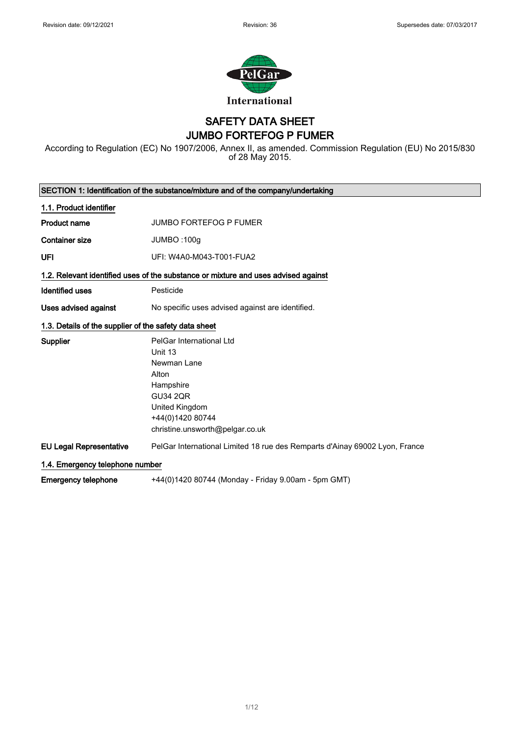

### SAFETY DATA SHEET JUMBO FORTEFOG P FUMER

According to Regulation (EC) No 1907/2006, Annex II, as amended. Commission Regulation (EU) No 2015/830 of 28 May 2015.

| SECTION 1: Identification of the substance/mixture and of the company/undertaking |                                                                                    |  |
|-----------------------------------------------------------------------------------|------------------------------------------------------------------------------------|--|
| 1.1. Product identifier                                                           |                                                                                    |  |
| <b>Product name</b>                                                               | <b>JUMBO FORTEFOG P FUMER</b>                                                      |  |
| <b>Container size</b>                                                             | JUMBO: 100g                                                                        |  |
| UFI                                                                               | UFI: W4A0-M043-T001-FUA2                                                           |  |
|                                                                                   | 1.2. Relevant identified uses of the substance or mixture and uses advised against |  |
| <b>Identified uses</b>                                                            | Pesticide                                                                          |  |
| Uses advised against                                                              | No specific uses advised against are identified.                                   |  |
| 1.3. Details of the supplier of the safety data sheet                             |                                                                                    |  |
| Supplier                                                                          | PelGar International Ltd                                                           |  |
|                                                                                   | Unit 13                                                                            |  |
|                                                                                   | Newman Lane                                                                        |  |
|                                                                                   | Alton                                                                              |  |
|                                                                                   | Hampshire                                                                          |  |
|                                                                                   | <b>GU34 2QR</b>                                                                    |  |
|                                                                                   | United Kingdom                                                                     |  |
|                                                                                   | +44(0)1420 80744                                                                   |  |
|                                                                                   | christine.unsworth@pelgar.co.uk                                                    |  |
| <b>EU Legal Representative</b>                                                    | PelGar International Limited 18 rue des Remparts d'Ainay 69002 Lyon, France        |  |
| 1.4. Emergency telephone number                                                   |                                                                                    |  |
| <b>Emergency telephone</b>                                                        | +44(0)1420 80744 (Monday - Friday 9.00am - 5pm GMT)                                |  |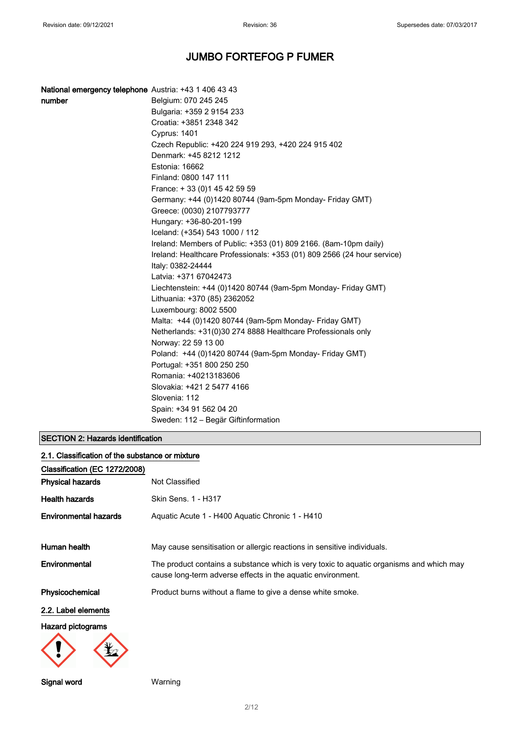| <b>National emergency telephone</b> Austria: +43 1 406 43 43 |                                                                                              |
|--------------------------------------------------------------|----------------------------------------------------------------------------------------------|
| number                                                       | Belgium: 070 245 245                                                                         |
|                                                              | Bulgaria: +359 2 9154 233                                                                    |
|                                                              | Croatia: +3851 2348 342                                                                      |
|                                                              | Cyprus: 1401                                                                                 |
|                                                              | Czech Republic: +420 224 919 293, +420 224 915 402                                           |
|                                                              | Denmark: +45 8212 1212                                                                       |
|                                                              | Estonia: 16662                                                                               |
|                                                              | Finland: 0800 147 111                                                                        |
|                                                              | France: +33 (0) 145 42 59 59                                                                 |
|                                                              | Germany: +44 (0)1420 80744 (9am-5pm Monday- Friday GMT)                                      |
|                                                              | Greece: (0030) 2107793777                                                                    |
|                                                              | Hungary: +36-80-201-199                                                                      |
|                                                              | Iceland: (+354) 543 1000 / 112                                                               |
|                                                              | Ireland: Members of Public: +353 (01) 809 2166. (8am-10pm daily)                             |
|                                                              | Ireland: Healthcare Professionals: +353 (01) 809 2566 (24 hour service)<br>Italy: 0382-24444 |
|                                                              | Latvia: +371 67042473                                                                        |
|                                                              | Liechtenstein: +44 (0)1420 80744 (9am-5pm Monday- Friday GMT)                                |
|                                                              | Lithuania: +370 (85) 2362052                                                                 |
|                                                              | Luxembourg: 8002 5500                                                                        |
|                                                              | Malta: +44 (0)1420 80744 (9am-5pm Monday- Friday GMT)                                        |
|                                                              | Netherlands: +31(0)30 274 8888 Healthcare Professionals only                                 |
|                                                              | Norway: 22 59 13 00                                                                          |
|                                                              | Poland: +44 (0)1420 80744 (9am-5pm Monday- Friday GMT)                                       |
|                                                              | Portugal: +351 800 250 250                                                                   |
|                                                              | Romania: +40213183606                                                                        |
|                                                              | Slovakia: +421 2 5477 4166                                                                   |
|                                                              | Slovenia: 112                                                                                |
|                                                              | Spain: +34 91 562 04 20                                                                      |
|                                                              | Sweden: 112 - Begär Giftinformation                                                          |

### SECTION 2: Hazards identification

| 2.1. Classification of the substance or mixture |                                                                                                                                                        |  |
|-------------------------------------------------|--------------------------------------------------------------------------------------------------------------------------------------------------------|--|
| Classification (EC 1272/2008)                   |                                                                                                                                                        |  |
| <b>Physical hazards</b>                         | Not Classified                                                                                                                                         |  |
| <b>Health hazards</b>                           | Skin Sens. 1 - H317                                                                                                                                    |  |
| <b>Environmental hazards</b>                    | Aquatic Acute 1 - H400 Aquatic Chronic 1 - H410                                                                                                        |  |
| Human health                                    | May cause sensitisation or allergic reactions in sensitive individuals.                                                                                |  |
| Environmental                                   | The product contains a substance which is very toxic to aquatic organisms and which may<br>cause long-term adverse effects in the aquatic environment. |  |
| Physicochemical                                 | Product burns without a flame to give a dense white smoke.                                                                                             |  |
| 2.2. Label elements                             |                                                                                                                                                        |  |
| <b>Hazard pictograms</b>                        |                                                                                                                                                        |  |
|                                                 |                                                                                                                                                        |  |

Signal word Warning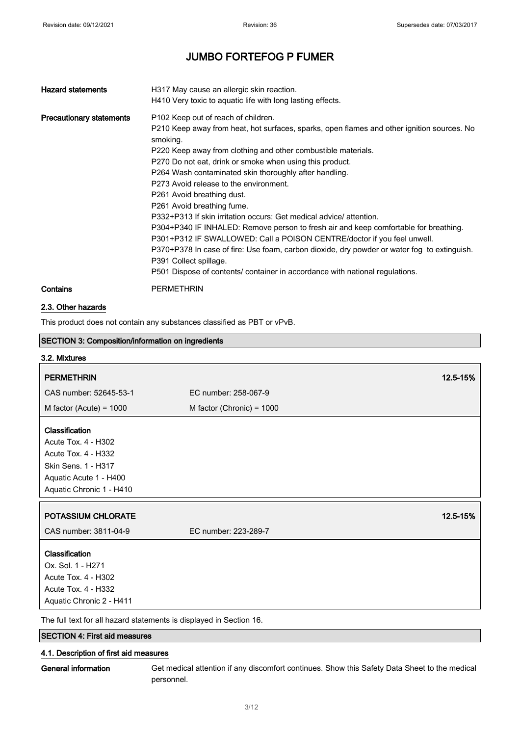| <b>Hazard statements</b>        | H317 May cause an allergic skin reaction.<br>H410 Very toxic to aquatic life with long lasting effects.                                                                                                                                                                                                                                                                                                                                                                                                                                                                                                                                                                                                                                                                                                                                                                                       |
|---------------------------------|-----------------------------------------------------------------------------------------------------------------------------------------------------------------------------------------------------------------------------------------------------------------------------------------------------------------------------------------------------------------------------------------------------------------------------------------------------------------------------------------------------------------------------------------------------------------------------------------------------------------------------------------------------------------------------------------------------------------------------------------------------------------------------------------------------------------------------------------------------------------------------------------------|
| <b>Precautionary statements</b> | P102 Keep out of reach of children.<br>P210 Keep away from heat, hot surfaces, sparks, open flames and other ignition sources. No<br>smoking.<br>P220 Keep away from clothing and other combustible materials.<br>P270 Do not eat, drink or smoke when using this product.<br>P264 Wash contaminated skin thoroughly after handling.<br>P273 Avoid release to the environment.<br>P261 Avoid breathing dust.<br>P261 Avoid breathing fume.<br>P332+P313 If skin irritation occurs: Get medical advice/ attention.<br>P304+P340 IF INHALED: Remove person to fresh air and keep comfortable for breathing.<br>P301+P312 IF SWALLOWED: Call a POISON CENTRE/doctor if you feel unwell.<br>P370+P378 In case of fire: Use foam, carbon dioxide, dry powder or water fog to extinguish.<br>P391 Collect spillage.<br>P501 Dispose of contents/ container in accordance with national regulations. |
| Contains                        | <b>PERMETHRIN</b>                                                                                                                                                                                                                                                                                                                                                                                                                                                                                                                                                                                                                                                                                                                                                                                                                                                                             |

### 2.3. Other hazards

This product does not contain any substances classified as PBT or vPvB.

| <b>SECTION 3: Composition/information on ingredients</b>           |                             |          |
|--------------------------------------------------------------------|-----------------------------|----------|
| 3.2. Mixtures                                                      |                             |          |
| <b>PERMETHRIN</b>                                                  |                             | 12.5-15% |
| CAS number: 52645-53-1                                             | EC number: 258-067-9        |          |
| M factor (Acute) = $1000$                                          | M factor (Chronic) = $1000$ |          |
|                                                                    |                             |          |
| Classification                                                     |                             |          |
| Acute Tox. 4 - H302                                                |                             |          |
| <b>Acute Tox. 4 - H332</b>                                         |                             |          |
| Skin Sens. 1 - H317                                                |                             |          |
| Aquatic Acute 1 - H400                                             |                             |          |
| Aquatic Chronic 1 - H410                                           |                             |          |
|                                                                    |                             |          |
| POTASSIUM CHLORATE                                                 |                             | 12.5-15% |
| CAS number: 3811-04-9                                              | EC number: 223-289-7        |          |
| Classification                                                     |                             |          |
| Ox. Sol. 1 - H271                                                  |                             |          |
| Acute Tox. 4 - H302                                                |                             |          |
| Acute Tox. 4 - H332                                                |                             |          |
| Aquatic Chronic 2 - H411                                           |                             |          |
| The full text fer all bezerd etatements is displayed in Coetian 16 |                             |          |

The full text for all hazard statements is displayed in Section 16.

### SECTION 4: First aid measures

### 4.1. Description of first aid measures

General information Get medical attention if any discomfort continues. Show this Safety Data Sheet to the medical personnel.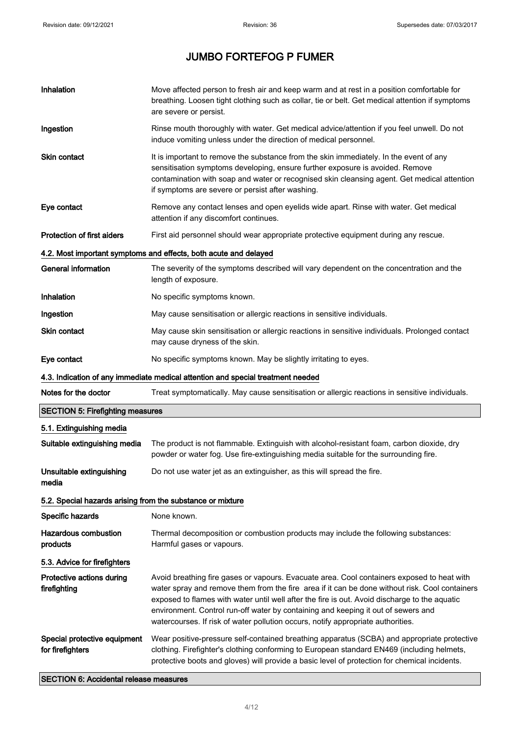$\blacksquare$ 

# JUMBO FORTEFOG P FUMER

| Inhalation                                                 | Move affected person to fresh air and keep warm and at rest in a position comfortable for<br>breathing. Loosen tight clothing such as collar, tie or belt. Get medical attention if symptoms<br>are severe or persist.                                                                                                                                                                                                                                                 |
|------------------------------------------------------------|------------------------------------------------------------------------------------------------------------------------------------------------------------------------------------------------------------------------------------------------------------------------------------------------------------------------------------------------------------------------------------------------------------------------------------------------------------------------|
| Ingestion                                                  | Rinse mouth thoroughly with water. Get medical advice/attention if you feel unwell. Do not<br>induce vomiting unless under the direction of medical personnel.                                                                                                                                                                                                                                                                                                         |
| <b>Skin contact</b>                                        | It is important to remove the substance from the skin immediately. In the event of any<br>sensitisation symptoms developing, ensure further exposure is avoided. Remove<br>contamination with soap and water or recognised skin cleansing agent. Get medical attention<br>if symptoms are severe or persist after washing.                                                                                                                                             |
| Eye contact                                                | Remove any contact lenses and open eyelids wide apart. Rinse with water. Get medical<br>attention if any discomfort continues.                                                                                                                                                                                                                                                                                                                                         |
| <b>Protection of first aiders</b>                          | First aid personnel should wear appropriate protective equipment during any rescue.                                                                                                                                                                                                                                                                                                                                                                                    |
|                                                            | 4.2. Most important symptoms and effects, both acute and delayed                                                                                                                                                                                                                                                                                                                                                                                                       |
| <b>General information</b>                                 | The severity of the symptoms described will vary dependent on the concentration and the<br>length of exposure.                                                                                                                                                                                                                                                                                                                                                         |
| Inhalation                                                 | No specific symptoms known.                                                                                                                                                                                                                                                                                                                                                                                                                                            |
| Ingestion                                                  | May cause sensitisation or allergic reactions in sensitive individuals.                                                                                                                                                                                                                                                                                                                                                                                                |
| Skin contact                                               | May cause skin sensitisation or allergic reactions in sensitive individuals. Prolonged contact<br>may cause dryness of the skin.                                                                                                                                                                                                                                                                                                                                       |
| Eye contact                                                | No specific symptoms known. May be slightly irritating to eyes.                                                                                                                                                                                                                                                                                                                                                                                                        |
|                                                            | 4.3. Indication of any immediate medical attention and special treatment needed                                                                                                                                                                                                                                                                                                                                                                                        |
| Notes for the doctor                                       | Treat symptomatically. May cause sensitisation or allergic reactions in sensitive individuals.                                                                                                                                                                                                                                                                                                                                                                         |
| <b>SECTION 5: Firefighting measures</b>                    |                                                                                                                                                                                                                                                                                                                                                                                                                                                                        |
| 5.1. Extinguishing media                                   |                                                                                                                                                                                                                                                                                                                                                                                                                                                                        |
| Suitable extinguishing media                               | The product is not flammable. Extinguish with alcohol-resistant foam, carbon dioxide, dry<br>powder or water fog. Use fire-extinguishing media suitable for the surrounding fire.                                                                                                                                                                                                                                                                                      |
| Unsuitable extinguishing<br>media                          | Do not use water jet as an extinguisher, as this will spread the fire.                                                                                                                                                                                                                                                                                                                                                                                                 |
| 5.2. Special hazards arising from the substance or mixture |                                                                                                                                                                                                                                                                                                                                                                                                                                                                        |
| Specific hazards                                           | None known.                                                                                                                                                                                                                                                                                                                                                                                                                                                            |
| <b>Hazardous combustion</b><br>products                    | Thermal decomposition or combustion products may include the following substances:<br>Harmful gases or vapours.                                                                                                                                                                                                                                                                                                                                                        |
| 5.3. Advice for firefighters                               |                                                                                                                                                                                                                                                                                                                                                                                                                                                                        |
| Protective actions during<br>firefighting                  | Avoid breathing fire gases or vapours. Evacuate area. Cool containers exposed to heat with<br>water spray and remove them from the fire area if it can be done without risk. Cool containers<br>exposed to flames with water until well after the fire is out. Avoid discharge to the aquatic<br>environment. Control run-off water by containing and keeping it out of sewers and<br>watercourses. If risk of water pollution occurs, notify appropriate authorities. |
| Special protective equipment<br>for firefighters           | Wear positive-pressure self-contained breathing apparatus (SCBA) and appropriate protective<br>clothing. Firefighter's clothing conforming to European standard EN469 (including helmets,<br>protective boots and gloves) will provide a basic level of protection for chemical incidents.                                                                                                                                                                             |

SECTION 6: Accidental release measures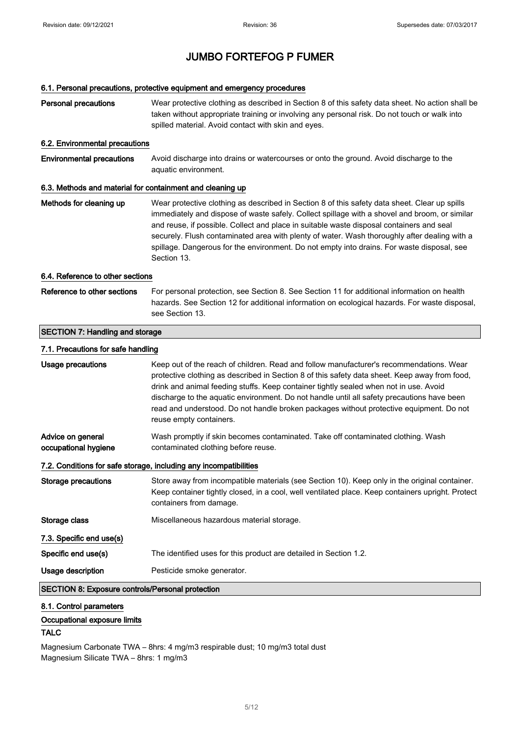### 6.1. Personal precautions, protective equipment and emergency procedures

| <b>Personal precautions</b>                               | Wear protective clothing as described in Section 8 of this safety data sheet. No action shall be<br>taken without appropriate training or involving any personal risk. Do not touch or walk into<br>spilled material. Avoid contact with skin and eyes.                                                                                                                                                                                                                                                 |  |
|-----------------------------------------------------------|---------------------------------------------------------------------------------------------------------------------------------------------------------------------------------------------------------------------------------------------------------------------------------------------------------------------------------------------------------------------------------------------------------------------------------------------------------------------------------------------------------|--|
| 6.2. Environmental precautions                            |                                                                                                                                                                                                                                                                                                                                                                                                                                                                                                         |  |
| <b>Environmental precautions</b>                          | Avoid discharge into drains or watercourses or onto the ground. Avoid discharge to the<br>aquatic environment.                                                                                                                                                                                                                                                                                                                                                                                          |  |
| 6.3. Methods and material for containment and cleaning up |                                                                                                                                                                                                                                                                                                                                                                                                                                                                                                         |  |
| Methods for cleaning up                                   | Wear protective clothing as described in Section 8 of this safety data sheet. Clear up spills<br>immediately and dispose of waste safely. Collect spillage with a shovel and broom, or similar<br>and reuse, if possible. Collect and place in suitable waste disposal containers and seal<br>securely. Flush contaminated area with plenty of water. Wash thoroughly after dealing with a<br>spillage. Dangerous for the environment. Do not empty into drains. For waste disposal, see<br>Section 13. |  |
| 6.4. Reference to other sections                          |                                                                                                                                                                                                                                                                                                                                                                                                                                                                                                         |  |
| Reference to other sections                               | For personal protection, see Section 8. See Section 11 for additional information on health<br>hazards. See Section 12 for additional information on ecological hazards. For waste disposal,<br>see Section 13.                                                                                                                                                                                                                                                                                         |  |
| <b>SECTION 7: Handling and storage</b>                    |                                                                                                                                                                                                                                                                                                                                                                                                                                                                                                         |  |
| 7.1. Precautions for safe handling                        |                                                                                                                                                                                                                                                                                                                                                                                                                                                                                                         |  |
| Usage precautions                                         | Keep out of the reach of children. Read and follow manufacturer's recommendations. Wear<br>protective clothing as described in Section 8 of this safety data sheet. Keep away from food,<br>drink and animal feeding stuffs. Keep container tightly sealed when not in use. Avoid<br>discharge to the aquatic environment. Do not handle until all safety precautions have been<br>read and understood. Do not handle broken packages without protective equipment. Do not<br>reuse empty containers.   |  |
| Advice on general<br>occupational hygiene                 | Wash promptly if skin becomes contaminated. Take off contaminated clothing. Wash<br>contaminated clothing before reuse.                                                                                                                                                                                                                                                                                                                                                                                 |  |
|                                                           | 7.2. Conditions for safe storage, including any incompatibilities                                                                                                                                                                                                                                                                                                                                                                                                                                       |  |
| <b>Storage precautions</b>                                | Store away from incompatible materials (see Section 10). Keep only in the original container.<br>Keep container tightly closed, in a cool, well ventilated place. Keep containers upright. Protect<br>containers from damage.                                                                                                                                                                                                                                                                           |  |
| Storage class                                             | Miscellaneous hazardous material storage.                                                                                                                                                                                                                                                                                                                                                                                                                                                               |  |
| 7.3. Specific end use(s)                                  |                                                                                                                                                                                                                                                                                                                                                                                                                                                                                                         |  |
| Specific end use(s)                                       | The identified uses for this product are detailed in Section 1.2.                                                                                                                                                                                                                                                                                                                                                                                                                                       |  |
| Usage description                                         | Pesticide smoke generator.                                                                                                                                                                                                                                                                                                                                                                                                                                                                              |  |
| <b>SECTION 8: Exposure controls/Personal protection</b>   |                                                                                                                                                                                                                                                                                                                                                                                                                                                                                                         |  |

### 8.1. Control parameters

### Occupational exposure limits

### TALC

Magnesium Carbonate TWA – 8hrs: 4 mg/m3 respirable dust; 10 mg/m3 total dust Magnesium Silicate TWA – 8hrs: 1 mg/m3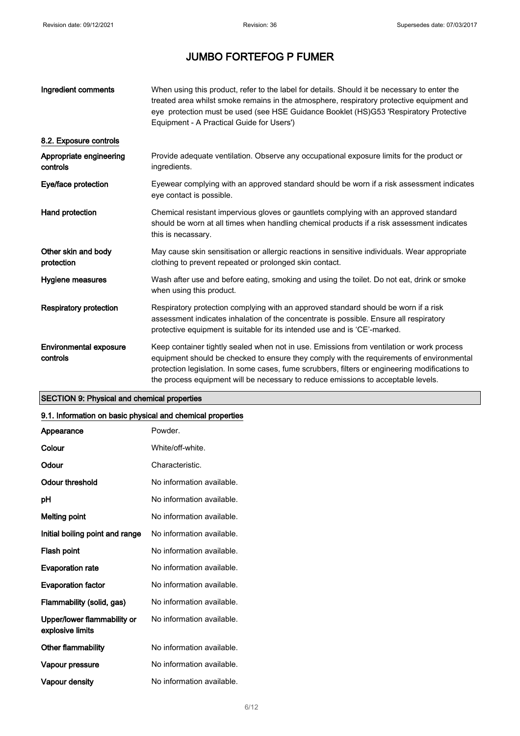| Ingredient comments                       | When using this product, refer to the label for details. Should it be necessary to enter the<br>treated area whilst smoke remains in the atmosphere, respiratory protective equipment and<br>eye protection must be used (see HSE Guidance Booklet (HS)G53 'Respiratory Protective<br>Equipment - A Practical Guide for Users')                                              |
|-------------------------------------------|------------------------------------------------------------------------------------------------------------------------------------------------------------------------------------------------------------------------------------------------------------------------------------------------------------------------------------------------------------------------------|
| 8.2. Exposure controls                    |                                                                                                                                                                                                                                                                                                                                                                              |
| Appropriate engineering<br>controls       | Provide adequate ventilation. Observe any occupational exposure limits for the product or<br>ingredients.                                                                                                                                                                                                                                                                    |
| Eye/face protection                       | Eyewear complying with an approved standard should be worn if a risk assessment indicates<br>eye contact is possible.                                                                                                                                                                                                                                                        |
| Hand protection                           | Chemical resistant impervious gloves or gauntlets complying with an approved standard<br>should be worn at all times when handling chemical products if a risk assessment indicates<br>this is necassary.                                                                                                                                                                    |
| Other skin and body<br>protection         | May cause skin sensitisation or allergic reactions in sensitive individuals. Wear appropriate<br>clothing to prevent repeated or prolonged skin contact.                                                                                                                                                                                                                     |
| Hygiene measures                          | Wash after use and before eating, smoking and using the toilet. Do not eat, drink or smoke<br>when using this product.                                                                                                                                                                                                                                                       |
| <b>Respiratory protection</b>             | Respiratory protection complying with an approved standard should be worn if a risk<br>assessment indicates inhalation of the concentrate is possible. Ensure all respiratory<br>protective equipment is suitable for its intended use and is 'CE'-marked.                                                                                                                   |
| <b>Environmental exposure</b><br>controls | Keep container tightly sealed when not in use. Emissions from ventilation or work process<br>equipment should be checked to ensure they comply with the requirements of environmental<br>protection legislation. In some cases, fume scrubbers, filters or engineering modifications to<br>the process equipment will be necessary to reduce emissions to acceptable levels. |

### SECTION 9: Physical and chemical properties

### 9.1. Information on basic physical and chemical properties

| Appearance                                      | Powder.                   |
|-------------------------------------------------|---------------------------|
| Colour                                          | White/off-white.          |
| Odour                                           | Characteristic.           |
| Odour threshold                                 | No information available. |
| рH                                              | No information available. |
| Melting point                                   | No information available. |
| Initial boiling point and range                 | No information available. |
| Flash point                                     | No information available. |
| <b>Evaporation rate</b>                         | No information available. |
| <b>Evaporation factor</b>                       | No information available. |
| Flammability (solid, gas)                       | No information available. |
| Upper/lower flammability or<br>explosive limits | No information available. |
| Other flammability                              | No information available. |
| Vapour pressure                                 | No information available. |
| <b>Vapour density</b>                           | No information available. |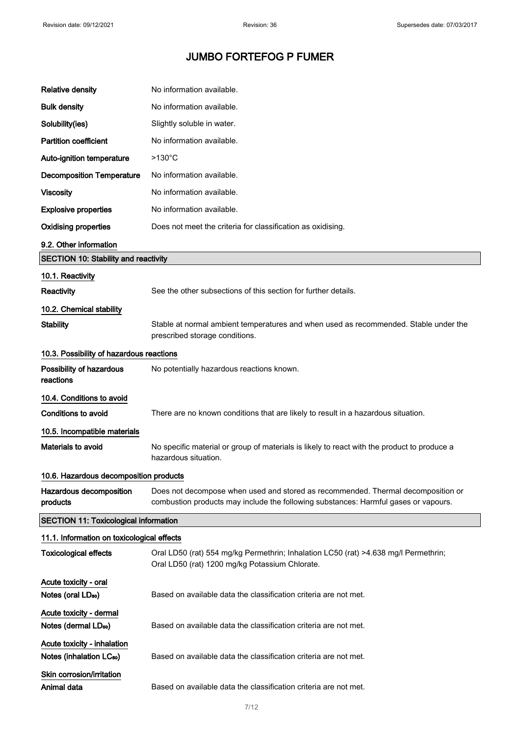| Relative density                                                    | No information available.                                                                                                                                               |
|---------------------------------------------------------------------|-------------------------------------------------------------------------------------------------------------------------------------------------------------------------|
| <b>Bulk density</b>                                                 | No information available.                                                                                                                                               |
| Solubility(ies)                                                     | Slightly soluble in water.                                                                                                                                              |
| <b>Partition coefficient</b>                                        | No information available.                                                                                                                                               |
| Auto-ignition temperature                                           | $>130^{\circ}$ C                                                                                                                                                        |
| <b>Decomposition Temperature</b>                                    | No information available.                                                                                                                                               |
| <b>Viscosity</b>                                                    | No information available.                                                                                                                                               |
| <b>Explosive properties</b>                                         | No information available.                                                                                                                                               |
| <b>Oxidising properties</b>                                         | Does not meet the criteria for classification as oxidising.                                                                                                             |
| 9.2. Other information                                              |                                                                                                                                                                         |
| <b>SECTION 10: Stability and reactivity</b>                         |                                                                                                                                                                         |
| 10.1. Reactivity                                                    |                                                                                                                                                                         |
| Reactivity                                                          | See the other subsections of this section for further details.                                                                                                          |
| 10.2. Chemical stability                                            |                                                                                                                                                                         |
| <b>Stability</b>                                                    | Stable at normal ambient temperatures and when used as recommended. Stable under the<br>prescribed storage conditions.                                                  |
| 10.3. Possibility of hazardous reactions                            |                                                                                                                                                                         |
| Possibility of hazardous<br>reactions                               | No potentially hazardous reactions known.                                                                                                                               |
| 10.4. Conditions to avoid                                           |                                                                                                                                                                         |
| <b>Conditions to avoid</b>                                          | There are no known conditions that are likely to result in a hazardous situation.                                                                                       |
| 10.5. Incompatible materials                                        |                                                                                                                                                                         |
| Materials to avoid                                                  | No specific material or group of materials is likely to react with the product to produce a<br>hazardous situation.                                                     |
| 10.6. Hazardous decomposition products                              |                                                                                                                                                                         |
| Hazardous decomposition<br>products                                 | Does not decompose when used and stored as recommended. Thermal decomposition or<br>combustion products may include the following substances: Harmful gases or vapours. |
| <b>SECTION 11: Toxicological information</b>                        |                                                                                                                                                                         |
| 11.1. Information on toxicological effects                          |                                                                                                                                                                         |
| <b>Toxicological effects</b>                                        | Oral LD50 (rat) 554 mg/kg Permethrin; Inhalation LC50 (rat) >4.638 mg/l Permethrin;<br>Oral LD50 (rat) 1200 mg/kg Potassium Chlorate.                                   |
| Acute toxicity - oral<br>Notes (oral LD <sub>50</sub> )             | Based on available data the classification criteria are not met.                                                                                                        |
| Acute toxicity - dermal                                             |                                                                                                                                                                         |
| Notes (dermal LD <sub>50</sub> )                                    | Based on available data the classification criteria are not met.                                                                                                        |
| Acute toxicity - inhalation<br>Notes (inhalation LC <sub>50</sub> ) | Based on available data the classification criteria are not met.                                                                                                        |
| Skin corrosion/irritation<br>Animal data                            | Based on available data the classification criteria are not met.                                                                                                        |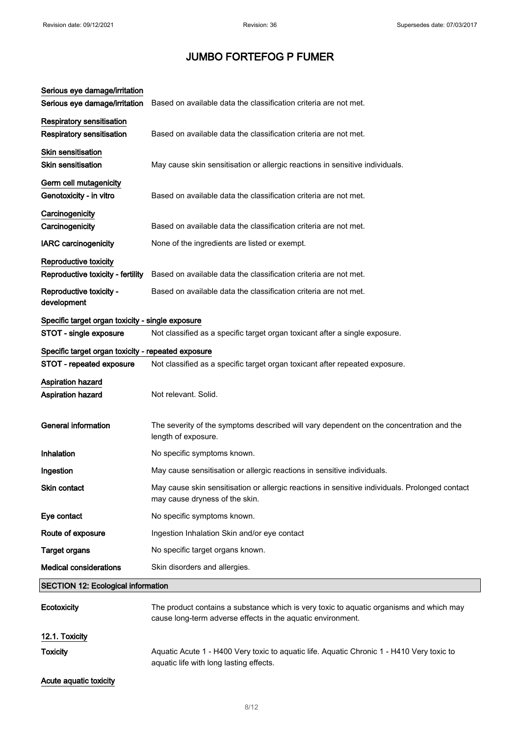| Serious eye damage/irritation<br>Serious eye damage/irritation       | Based on available data the classification criteria are not met.                                                                                       |
|----------------------------------------------------------------------|--------------------------------------------------------------------------------------------------------------------------------------------------------|
| <b>Respiratory sensitisation</b><br><b>Respiratory sensitisation</b> | Based on available data the classification criteria are not met.                                                                                       |
| <b>Skin sensitisation</b><br><b>Skin sensitisation</b>               | May cause skin sensitisation or allergic reactions in sensitive individuals.                                                                           |
| Germ cell mutagenicity<br>Genotoxicity - in vitro                    | Based on available data the classification criteria are not met.                                                                                       |
| Carcinogenicity<br>Carcinogenicity                                   | Based on available data the classification criteria are not met.                                                                                       |
| <b>IARC</b> carcinogenicity                                          | None of the ingredients are listed or exempt.                                                                                                          |
| Reproductive toxicity<br>Reproductive toxicity - fertility           | Based on available data the classification criteria are not met.                                                                                       |
| Reproductive toxicity -<br>development                               | Based on available data the classification criteria are not met.                                                                                       |
| Specific target organ toxicity - single exposure                     |                                                                                                                                                        |
| STOT - single exposure                                               | Not classified as a specific target organ toxicant after a single exposure.                                                                            |
| Specific target organ toxicity - repeated exposure                   |                                                                                                                                                        |
| STOT - repeated exposure                                             | Not classified as a specific target organ toxicant after repeated exposure.                                                                            |
| <b>Aspiration hazard</b><br><b>Aspiration hazard</b>                 | Not relevant. Solid.                                                                                                                                   |
| <b>General information</b>                                           | The severity of the symptoms described will vary dependent on the concentration and the<br>length of exposure.                                         |
| Inhalation                                                           | No specific symptoms known.                                                                                                                            |
| Ingestion                                                            | May cause sensitisation or allergic reactions in sensitive individuals.                                                                                |
| Skin contact                                                         | May cause skin sensitisation or allergic reactions in sensitive individuals. Prolonged contact<br>may cause dryness of the skin.                       |
| Eye contact                                                          | No specific symptoms known.                                                                                                                            |
| Route of exposure                                                    | Ingestion Inhalation Skin and/or eye contact                                                                                                           |
| <b>Target organs</b>                                                 | No specific target organs known.                                                                                                                       |
| <b>Medical considerations</b>                                        | Skin disorders and allergies.                                                                                                                          |
| <b>SECTION 12: Ecological information</b>                            |                                                                                                                                                        |
| Ecotoxicity                                                          | The product contains a substance which is very toxic to aquatic organisms and which may<br>cause long-term adverse effects in the aquatic environment. |
| 12.1. Toxicity                                                       |                                                                                                                                                        |
| <b>Toxicity</b>                                                      | Aquatic Acute 1 - H400 Very toxic to aquatic life. Aquatic Chronic 1 - H410 Very toxic to<br>aquatic life with long lasting effects.                   |
| Acute aquatic toxicity                                               |                                                                                                                                                        |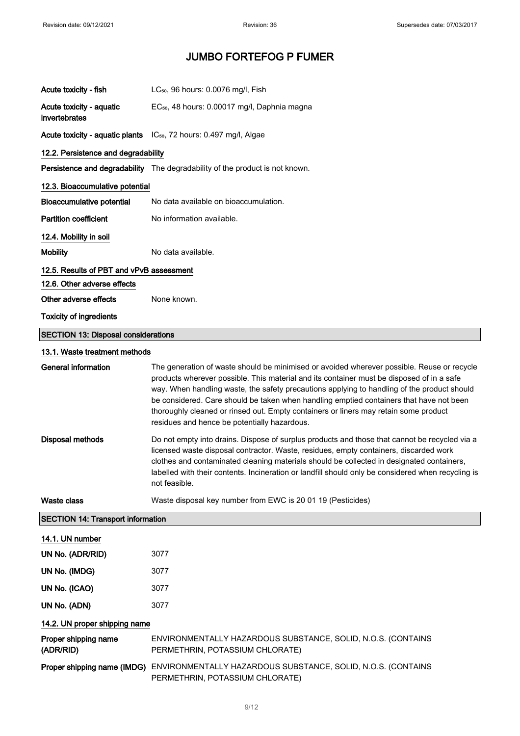| Acute toxicity - fish                      | LC <sub>50</sub> , 96 hours: 0.0076 mg/l, Fish                                                                                                                                                                                                                                                                                                                                                                                                                                                                            |  |
|--------------------------------------------|---------------------------------------------------------------------------------------------------------------------------------------------------------------------------------------------------------------------------------------------------------------------------------------------------------------------------------------------------------------------------------------------------------------------------------------------------------------------------------------------------------------------------|--|
| Acute toxicity - aquatic<br>invertebrates  | EC <sub>50</sub> , 48 hours: 0.00017 mg/l, Daphnia magna                                                                                                                                                                                                                                                                                                                                                                                                                                                                  |  |
|                                            | Acute toxicity - aquatic plants IC <sub>50</sub> , 72 hours: 0.497 mg/l, Algae                                                                                                                                                                                                                                                                                                                                                                                                                                            |  |
| 12.2. Persistence and degradability        |                                                                                                                                                                                                                                                                                                                                                                                                                                                                                                                           |  |
|                                            | Persistence and degradability The degradability of the product is not known.                                                                                                                                                                                                                                                                                                                                                                                                                                              |  |
| 12.3. Bioaccumulative potential            |                                                                                                                                                                                                                                                                                                                                                                                                                                                                                                                           |  |
| Bioaccumulative potential                  | No data available on bioaccumulation.                                                                                                                                                                                                                                                                                                                                                                                                                                                                                     |  |
| <b>Partition coefficient</b>               | No information available.                                                                                                                                                                                                                                                                                                                                                                                                                                                                                                 |  |
| 12.4. Mobility in soil                     |                                                                                                                                                                                                                                                                                                                                                                                                                                                                                                                           |  |
| <b>Mobility</b>                            | No data available.                                                                                                                                                                                                                                                                                                                                                                                                                                                                                                        |  |
| 12.5. Results of PBT and vPvB assessment   |                                                                                                                                                                                                                                                                                                                                                                                                                                                                                                                           |  |
| 12.6. Other adverse effects                |                                                                                                                                                                                                                                                                                                                                                                                                                                                                                                                           |  |
| Other adverse effects                      | None known.                                                                                                                                                                                                                                                                                                                                                                                                                                                                                                               |  |
| <b>Toxicity of ingredients</b>             |                                                                                                                                                                                                                                                                                                                                                                                                                                                                                                                           |  |
| <b>SECTION 13: Disposal considerations</b> |                                                                                                                                                                                                                                                                                                                                                                                                                                                                                                                           |  |
| 13.1. Waste treatment methods              |                                                                                                                                                                                                                                                                                                                                                                                                                                                                                                                           |  |
| <b>General information</b>                 | The generation of waste should be minimised or avoided wherever possible. Reuse or recycle<br>products wherever possible. This material and its container must be disposed of in a safe<br>way. When handling waste, the safety precautions applying to handling of the product should<br>be considered. Care should be taken when handling emptied containers that have not been<br>thoroughly cleaned or rinsed out. Empty containers or liners may retain some product<br>residues and hence be potentially hazardous. |  |
| <b>Disposal methods</b>                    | Do not empty into drains. Dispose of surplus products and those that cannot be recycled via a<br>licensed waste disposal contractor. Waste, residues, empty containers, discarded work<br>clothes and contaminated cleaning materials should be collected in designated containers,<br>labelled with their contents. Incineration or landfill should only be considered when recycling is<br>not feasible.                                                                                                                |  |
| <b>Waste class</b>                         | Waste disposal key number from EWC is 20 01 19 (Pesticides)                                                                                                                                                                                                                                                                                                                                                                                                                                                               |  |
| <b>SECTION 14: Transport information</b>   |                                                                                                                                                                                                                                                                                                                                                                                                                                                                                                                           |  |
| 14.1. UN number                            |                                                                                                                                                                                                                                                                                                                                                                                                                                                                                                                           |  |
| UN No. (ADR/RID)                           | 3077                                                                                                                                                                                                                                                                                                                                                                                                                                                                                                                      |  |
| UN No. (IMDG)                              | 3077                                                                                                                                                                                                                                                                                                                                                                                                                                                                                                                      |  |
| UN No. (ICAO)                              | 3077                                                                                                                                                                                                                                                                                                                                                                                                                                                                                                                      |  |
| UN No. (ADN)                               | 3077                                                                                                                                                                                                                                                                                                                                                                                                                                                                                                                      |  |
| 14.2. UN proper shipping name              |                                                                                                                                                                                                                                                                                                                                                                                                                                                                                                                           |  |
| Proper shipping name<br>(ADR/RID)          | ENVIRONMENTALLY HAZARDOUS SUBSTANCE, SOLID, N.O.S. (CONTAINS<br>PERMETHRIN, POTASSIUM CHLORATE)                                                                                                                                                                                                                                                                                                                                                                                                                           |  |
|                                            | Proper shipping name (IMDG) ENVIRONMENTALLY HAZARDOUS SUBSTANCE, SOLID, N.O.S. (CONTAINS<br>PERMETHRIN, POTASSIUM CHLORATE)                                                                                                                                                                                                                                                                                                                                                                                               |  |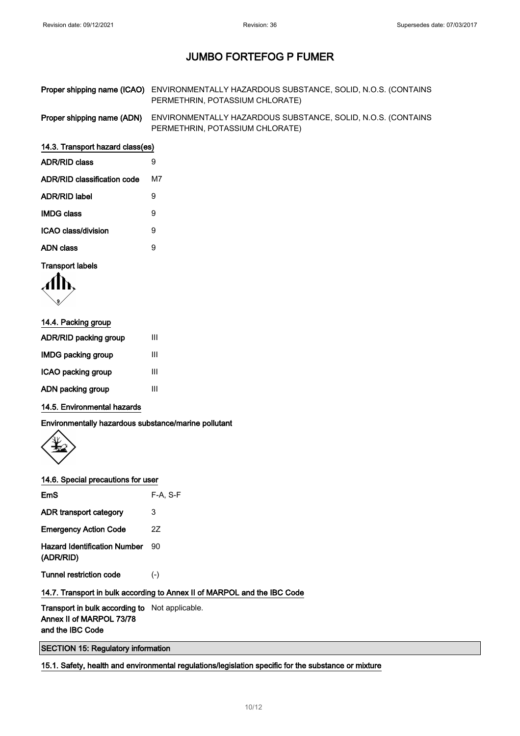| Proper shipping name (ICAO) ENVIRONMENTALLY HAZARDOUS SUBSTANCE, SOLID, N.O.S. (CONTAINS |
|------------------------------------------------------------------------------------------|
| PERMETHRIN, POTASSIUM CHLORATE)                                                          |

Proper shipping name (ADN) ENVIRONMENTALLY HAZARDOUS SUBSTANCE, SOLID, N.O.S. (CONTAINS PERMETHRIN, POTASSIUM CHLORATE)

#### 14.3. Transport hazard class(es)

| ADR/RID class               | 9  |
|-----------------------------|----|
| ADR/RID classification code | м7 |
| ADR/RID label               | 9  |
| IMDG class                  | Й  |
| ICAO class/division         | 9  |
| ADN class                   | Й  |
|                             |    |

### Transport labels

$$
\langle \prod_{\mathbf{y}} \mathbf{y}
$$

| 14.4. Packing group   |   |  |
|-----------------------|---|--|
| ADR/RID packing group | Ш |  |
| IMDG packing group    | Ш |  |
| ICAO packing group    | Ш |  |
| ADN packing group     | Ш |  |

#### 14.5. Environmental hazards

Environmentally hazardous substance/marine pollutant



#### 14.6. Special precautions for user

| $F-A. S-F$ |
|------------|
| 3          |
| 27         |
| 90         |
| $(-)$      |
|            |

### 14.7. Transport in bulk according to Annex II of MARPOL and the IBC Code

Transport in bulk according to Not applicable. Annex II of MARPOL 73/78 and the IBC Code

SECTION 15: Regulatory information

15.1. Safety, health and environmental regulations/legislation specific for the substance or mixture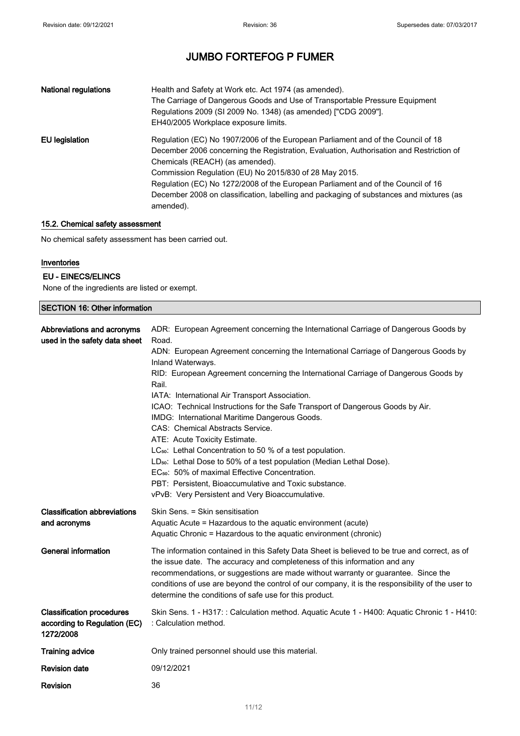| <b>National regulations</b> | Health and Safety at Work etc. Act 1974 (as amended).<br>The Carriage of Dangerous Goods and Use of Transportable Pressure Equipment<br>Regulations 2009 (SI 2009 No. 1348) (as amended) ["CDG 2009"].<br>EH40/2005 Workplace exposure limits.                                                                                                                                                                                                                       |
|-----------------------------|----------------------------------------------------------------------------------------------------------------------------------------------------------------------------------------------------------------------------------------------------------------------------------------------------------------------------------------------------------------------------------------------------------------------------------------------------------------------|
| EU legislation              | Regulation (EC) No 1907/2006 of the European Parliament and of the Council of 18<br>December 2006 concerning the Registration, Evaluation, Authorisation and Restriction of<br>Chemicals (REACH) (as amended).<br>Commission Regulation (EU) No 2015/830 of 28 May 2015.<br>Regulation (EC) No 1272/2008 of the European Parliament and of the Council of 16<br>December 2008 on classification, labelling and packaging of substances and mixtures (as<br>amended). |

### 15.2. Chemical safety assessment

No chemical safety assessment has been carried out.

#### Inventories

### EU - EINECS/ELINCS

None of the ingredients are listed or exempt.

| <b>SECTION 16: Other information</b>                                          |                                                                                                                                                                                                                                                                                                                                                                                                                                                                                                                                                                                                                                                                                                                                                                                                                                                                                                           |
|-------------------------------------------------------------------------------|-----------------------------------------------------------------------------------------------------------------------------------------------------------------------------------------------------------------------------------------------------------------------------------------------------------------------------------------------------------------------------------------------------------------------------------------------------------------------------------------------------------------------------------------------------------------------------------------------------------------------------------------------------------------------------------------------------------------------------------------------------------------------------------------------------------------------------------------------------------------------------------------------------------|
| Abbreviations and acronyms<br>used in the safety data sheet                   | ADR: European Agreement concerning the International Carriage of Dangerous Goods by<br>Road.<br>ADN: European Agreement concerning the International Carriage of Dangerous Goods by<br>Inland Waterways.<br>RID: European Agreement concerning the International Carriage of Dangerous Goods by<br>Rail.<br>IATA: International Air Transport Association.<br>ICAO: Technical Instructions for the Safe Transport of Dangerous Goods by Air.<br>IMDG: International Maritime Dangerous Goods.<br>CAS: Chemical Abstracts Service.<br>ATE: Acute Toxicity Estimate.<br>LC <sub>50</sub> : Lethal Concentration to 50 % of a test population.<br>LD <sub>50</sub> : Lethal Dose to 50% of a test population (Median Lethal Dose).<br>EC <sub>50</sub> : 50% of maximal Effective Concentration.<br>PBT: Persistent, Bioaccumulative and Toxic substance.<br>vPvB: Very Persistent and Very Bioaccumulative. |
| <b>Classification abbreviations</b><br>and acronyms                           | Skin Sens. = Skin sensitisation<br>Aquatic Acute = Hazardous to the aquatic environment (acute)<br>Aquatic Chronic = Hazardous to the aquatic environment (chronic)                                                                                                                                                                                                                                                                                                                                                                                                                                                                                                                                                                                                                                                                                                                                       |
| <b>General information</b>                                                    | The information contained in this Safety Data Sheet is believed to be true and correct, as of<br>the issue date. The accuracy and completeness of this information and any<br>recommendations, or suggestions are made without warranty or guarantee. Since the<br>conditions of use are beyond the control of our company, it is the responsibility of the user to<br>determine the conditions of safe use for this product.                                                                                                                                                                                                                                                                                                                                                                                                                                                                             |
| <b>Classification procedures</b><br>according to Regulation (EC)<br>1272/2008 | Skin Sens. 1 - H317: : Calculation method. Aquatic Acute 1 - H400: Aquatic Chronic 1 - H410:<br>: Calculation method.                                                                                                                                                                                                                                                                                                                                                                                                                                                                                                                                                                                                                                                                                                                                                                                     |
| <b>Training advice</b>                                                        | Only trained personnel should use this material.                                                                                                                                                                                                                                                                                                                                                                                                                                                                                                                                                                                                                                                                                                                                                                                                                                                          |
| <b>Revision date</b>                                                          | 09/12/2021                                                                                                                                                                                                                                                                                                                                                                                                                                                                                                                                                                                                                                                                                                                                                                                                                                                                                                |
| Revision                                                                      | 36                                                                                                                                                                                                                                                                                                                                                                                                                                                                                                                                                                                                                                                                                                                                                                                                                                                                                                        |